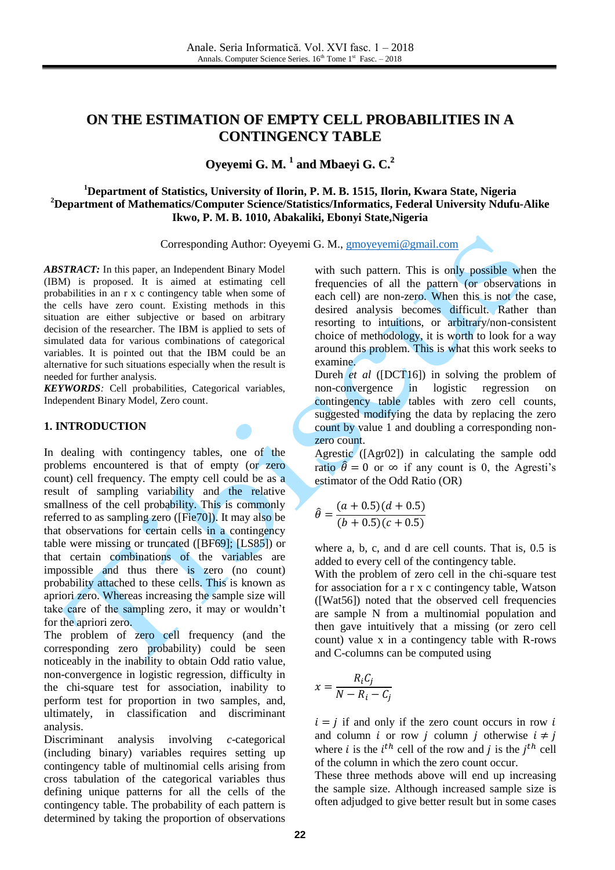# **ON THE ESTIMATION OF EMPTY CELL PROBABILITIES IN A CONTINGENCY TABLE**

**Oyeyemi G. M. 1 and Mbaeyi G. C. 2**

# **<sup>1</sup>Department of Statistics, University of Ilorin, P. M. B. 1515, Ilorin, Kwara State, Nigeria <sup>2</sup>Department of Mathematics/Computer Science/Statistics/Informatics, Federal University Ndufu-Alike Ikwo, P. M. B. 1010, Abakaliki, Ebonyi State,Nigeria**

Corresponding Author: Oyeyemi G. M., [gmoyeyemi@gmail.com](mailto:gmoyeyemi@gmail.com)

*ABSTRACT:* In this paper, an Independent Binary Model (IBM) is proposed. It is aimed at estimating cell probabilities in an r x c contingency table when some of the cells have zero count. Existing methods in this situation are either subjective or based on arbitrary decision of the researcher. The IBM is applied to sets of simulated data for various combinations of categorical variables. It is pointed out that the IBM could be an alternative for such situations especially when the result is needed for further analysis.

*KEYWORDS:* Cell probabilities, Categorical variables, Independent Binary Model, Zero count.

#### **1. INTRODUCTION**

In dealing with contingency tables, one of the problems encountered is that of empty (or zero count) cell frequency. The empty cell could be as a result of sampling variability and the relative smallness of the cell probability. This is commonly referred to as sampling zero ([Fie70]). It may also be that observations for certain cells in a contingency table were missing or truncated ([BF69]; [LS85]) or that certain combinations of the variables are impossible and thus there is zero (no count) probability attached to these cells. This is known as apriori zero. Whereas increasing the sample size will take care of the sampling zero, it may or wouldn't for the apriori zero.

The problem of zero cell frequency (and the corresponding zero probability) could be seen noticeably in the inability to obtain Odd ratio value, non-convergence in logistic regression, difficulty in the chi-square test for association, inability to perform test for proportion in two samples, and, ultimately, in classification and discriminant analysis.

Discriminant analysis involving *c*-categorical (including binary) variables requires setting up contingency table of multinomial cells arising from cross tabulation of the categorical variables thus defining unique patterns for all the cells of the contingency table. The probability of each pattern is determined by taking the proportion of observations

with such pattern. This is only possible when the frequencies of all the pattern (or observations in each cell) are non-zero. When this is not the case, desired analysis becomes difficult. Rather than resorting to intuitions, or arbitrary/non-consistent choice of methodology, it is worth to look for a way around this problem. This is what this work seeks to examine.

Dureh *et al* ([DCT16]) in solving the problem of non-convergence in logistic regression on contingency table tables with zero cell counts, suggested modifying the data by replacing the zero count by value 1 and doubling a corresponding nonzero count.

Agrestic ([Agr02]) in calculating the sample odd ratio  $\hat{\theta} = 0$  or  $\infty$  if any count is 0, the Agresti's estimator of the Odd Ratio (OR)

$$
\hat{\theta} = \frac{(a+0.5)(d+0.5)}{(b+0.5)(c+0.5)}
$$

where a, b, c, and d are cell counts. That is, 0.5 is added to every cell of the contingency table.

With the problem of zero cell in the chi-square test for association for a r x c contingency table, Watson ([Wat56]) noted that the observed cell frequencies are sample N from a multinomial population and then gave intuitively that a missing (or zero cell count) value x in a contingency table with R-rows and C-columns can be computed using

$$
x = \frac{R_i C_j}{N - R_i - C_j}
$$

 $i = j$  if and only if the zero count occurs in row i and column *i* or row *j* column *j* otherwise  $i \neq j$ where *i* is the  $i^{th}$  cell of the row and *j* is the  $j^{th}$  cell of the column in which the zero count occur.

These three methods above will end up increasing the sample size. Although increased sample size is often adjudged to give better result but in some cases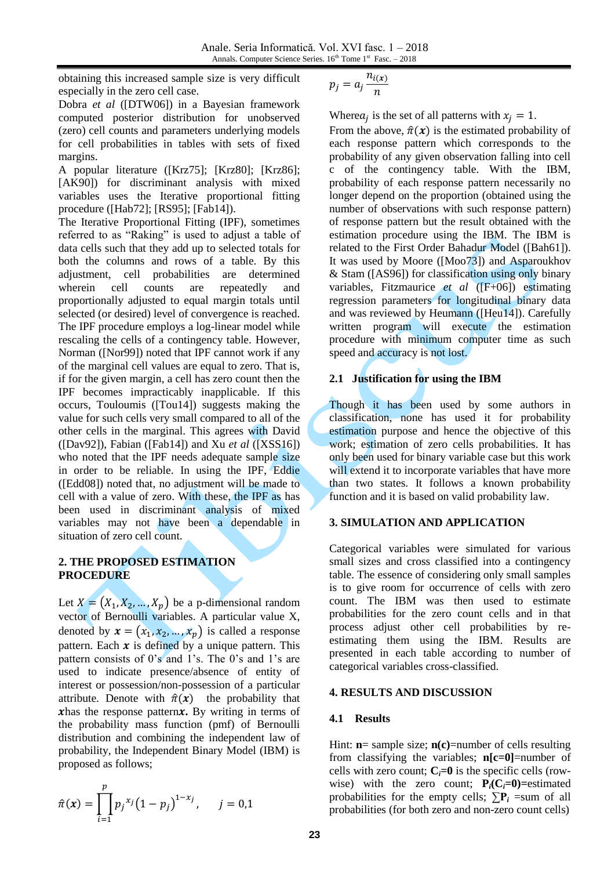obtaining this increased sample size is very difficult especially in the zero cell case.

Dobra *et al* ([DTW06]) in a Bayesian framework computed posterior distribution for unobserved (zero) cell counts and parameters underlying models for cell probabilities in tables with sets of fixed margins.

A popular literature ([Krz75]; [Krz80]; [Krz86]; [AK90]) for discriminant analysis with mixed variables uses the Iterative proportional fitting procedure ([Hab72]; [RS95]; [Fab14]).

The Iterative Proportional Fitting (IPF), sometimes referred to as "Raking" is used to adjust a table of data cells such that they add up to selected totals for both the columns and rows of a table. By this adjustment, cell probabilities are determined wherein cell counts are repeatedly and proportionally adjusted to equal margin totals until selected (or desired) level of convergence is reached. The IPF procedure employs a log-linear model while rescaling the cells of a contingency table. However, Norman ([Nor99]) noted that IPF cannot work if any of the marginal cell values are equal to zero. That is, if for the given margin, a cell has zero count then the IPF becomes impracticably inapplicable. If this occurs, Touloumis ([Tou14]) suggests making the value for such cells very small compared to all of the other cells in the marginal. This agrees with David ([Dav92]), Fabian ([Fab14]) and Xu *et al* ([XSS16]) who noted that the IPF needs adequate sample size in order to be reliable. In using the IPF, Eddie ([Edd08]) noted that, no adjustment will be made to cell with a value of zero. With these, the IPF as has been used in discriminant analysis of mixed variables may not have been a dependable in situation of zero cell count.

### **2. THE PROPOSED ESTIMATION PROCEDURE**

Let  $X = (X_1, X_2, ..., X_p)$  be a p-dimensional random vector of Bernoulli variables. A particular value X, denoted by  $x = (x_1, x_2, ..., x_p)$  is called a response pattern. Each  $x$  is defined by a unique pattern. This pattern consists of 0's and 1's. The 0's and 1's are used to indicate presence/absence of entity of interest or possession/non-possession of a particular attribute. Denote with  $\hat{\pi}(x)$  the probability that **x**has the response pattern $x$ . By writing in terms of the probability mass function (pmf) of Bernoulli distribution and combining the independent law of probability, the Independent Binary Model (IBM) is proposed as follows;

$$
\hat{\pi}(x) = \prod_{i=1}^{p} p_j^{x_j} (1 - p_j)^{1 - x_j}, \quad j = 0, 1
$$

$$
p_j=a_j\frac{n_{i(x)}}{n}
$$

Where  $a_j$  is the set of all patterns with  $x_j = 1$ .

From the above,  $\hat{\pi}(x)$  is the estimated probability of each response pattern which corresponds to the probability of any given observation falling into cell c of the contingency table. With the IBM, probability of each response pattern necessarily no longer depend on the proportion (obtained using the number of observations with such response pattern) of response pattern but the result obtained with the estimation procedure using the IBM. The IBM is related to the First Order Bahadur Model ([Bah61]). It was used by Moore ([Moo73]) and Asparoukhov & Stam ([AS96]) for classification using only binary variables, Fitzmaurice *et al* ([F+06]) estimating regression parameters for longitudinal binary data and was reviewed by Heumann ([Heu14]). Carefully written program will execute the estimation procedure with minimum computer time as such speed and accuracy is not lost.

# **2.1 Justification for using the IBM**

Though it has been used by some authors in classification, none has used it for probability estimation purpose and hence the objective of this work; estimation of zero cells probabilities. It has only been used for binary variable case but this work will extend it to incorporate variables that have more than two states. It follows a known probability function and it is based on valid probability law.

# **3. SIMULATION AND APPLICATION**

Categorical variables were simulated for various small sizes and cross classified into a contingency table. The essence of considering only small samples is to give room for occurrence of cells with zero count. The IBM was then used to estimate probabilities for the zero count cells and in that process adjust other cell probabilities by reestimating them using the IBM. Results are presented in each table according to number of categorical variables cross-classified.

### **4. RESULTS AND DISCUSSION**

### **4.1 Results**

Hint: **n**= sample size; **n(c)**=number of cells resulting from classifying the variables; **n[c=0]**=number of cells with zero count;  $C_i = 0$  is the specific cells (rowwise) with the zero count;  $P_i(C_i=0)$ =estimated probabilities for the empty cells;  $\sum P_i$  =sum of all probabilities (for both zero and non-zero count cells)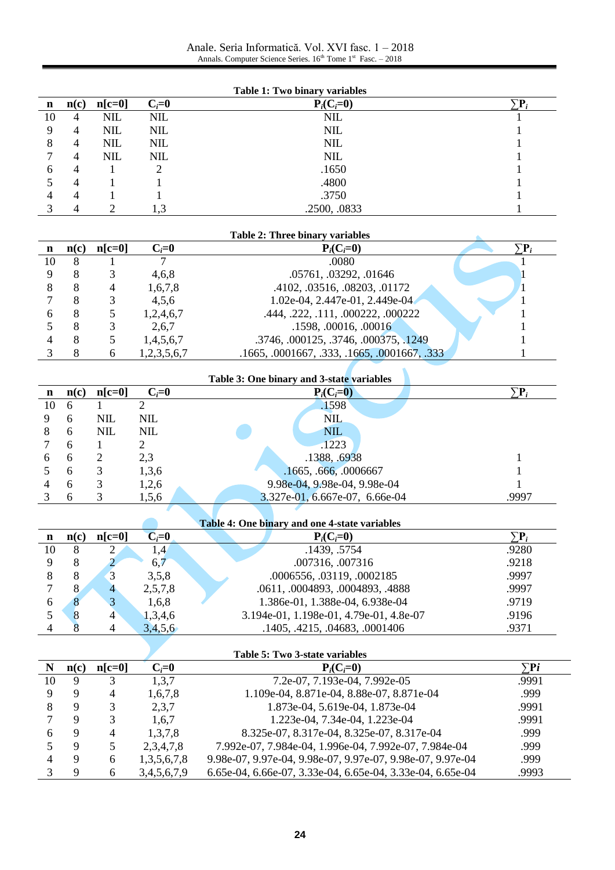Anale. Seria Informatică. Vol. XVI fasc. 1 – 2018 Annals. Computer Science Series.  $16<sup>th</sup>$  Tome  $1<sup>st</sup>$  Fasc.  $-2018$ 

| Table 1: Two binary variables |           |            |            |              |  |  |
|-------------------------------|-----------|------------|------------|--------------|--|--|
| n                             | n(c)      | $n[c=0]$   | $C_i=0$    | $P_i(C_i=0)$ |  |  |
| 10                            | 4         | <b>NIL</b> | <b>NIL</b> | <b>NIL</b>   |  |  |
| 9                             | 4         | <b>NIL</b> | <b>NIL</b> | <b>NIL</b>   |  |  |
| 8                             | 4         | <b>NIL</b> | <b>NIL</b> | <b>NIL</b>   |  |  |
|                               | 4         | <b>NIL</b> | <b>NIL</b> | <b>NIL</b>   |  |  |
| h                             | 4         |            |            | .1650        |  |  |
|                               | 4         |            |            | .4800        |  |  |
|                               | $\Lambda$ |            |            | .3750        |  |  |
|                               |           | ◠          | 1,3        | .2500, .0833 |  |  |

| <b>Table 2: Three binary variables</b> |      |          |             |                                              |                      |  |
|----------------------------------------|------|----------|-------------|----------------------------------------------|----------------------|--|
|                                        | n(c) | $n[c=0]$ | $C_i=0$     | $P_i(C_i=0)$                                 | $\nabla\mathbf{p}$ . |  |
| 10                                     |      |          |             | .0080                                        |                      |  |
|                                        |      |          | 4,6,8       | .05761, .03292, .01646                       |                      |  |
|                                        |      | 4        | 1,6,7,8     | .4102, .03516, .08203, .01172                |                      |  |
|                                        |      |          | 4,5,6       | 1.02e-04, 2.447e-01, 2.449e-04               |                      |  |
|                                        |      |          | 1,2,4,6,7   | .444, .222, .111, .000222, .000222           |                      |  |
|                                        |      |          | 2,6,7       | .1598, .00016, .00016                        |                      |  |
|                                        |      |          | 1,4,5,6,7   | .3746, .000125, .3746, .000375, .1249        |                      |  |
|                                        |      | 6        | 1,2,3,5,6,7 | .1665, .0001667, .333, .1665, .0001667, .333 |                      |  |
|                                        |      |          |             |                                              |                      |  |

| Table 3: One binary and 3-state variables |      |            |         |                                |       |  |
|-------------------------------------------|------|------------|---------|--------------------------------|-------|--|
| $\mathbf n$                               | n(c) | $n[c=0]$   | $C_i=0$ | $P_i(C_i=0)$                   |       |  |
| 10                                        | 6    |            |         | .1598                          |       |  |
| 9                                         | 6    | <b>NIL</b> | NIL     | <b>NIL</b>                     |       |  |
| 8                                         | 6    | <b>NIL</b> | NIL     | <b>NIL</b>                     |       |  |
|                                           | 6    |            |         | .1223                          |       |  |
| 6                                         | 6    |            | 2,3     | .1388, .6938                   |       |  |
|                                           | 6    | 3          | 1,3,6   | .1665, .666, .0006667          |       |  |
| 4                                         | 6    | 3          | 1,2,6   | 9.98e-04, 9.98e-04, 9.98e-04   |       |  |
|                                           | 6    | 3          | 1,5,6   | 3.327e-01, 6.667e-07, 6.66e-04 | .9997 |  |

| Table 4: One binary and one 4-state variables |      |          |                 |                                         |       |  |  |
|-----------------------------------------------|------|----------|-----------------|-----------------------------------------|-------|--|--|
| n                                             | n(c) | $n[c=0]$ | $C_i = 0$       | $P_i(C_i=0)$                            | Έ,    |  |  |
| 10                                            |      |          | $\overline{.4}$ | .1439, .5754                            | .9280 |  |  |
|                                               |      |          | 6,7             | .007316, .007316                        | .9218 |  |  |
|                                               |      | 3        | 3,5,8           | .0006556, .03119, .0002185              | .9997 |  |  |
|                                               |      | 4        | 2,5,7,8         | .0611, .0004893, .0004893, .4888        | .9997 |  |  |
| h                                             |      | 3        | 1,6,8           | 1.386e-01, 1.388e-04, 6.938e-04         | .9719 |  |  |
|                                               |      | 4        | 1,3,4,6         | 3.194e-01, 1.198e-01, 4.79e-01, 4.8e-07 | .9196 |  |  |
|                                               |      | 4        | 3,4,5,6         | .1405, .4215, .04683, .0001406          | .9371 |  |  |

×

 $\sqrt{2}$ 

| Table 5: Two 3-state variables |      |          |                  |                                                            |           |  |  |
|--------------------------------|------|----------|------------------|------------------------------------------------------------|-----------|--|--|
|                                | n(c) | $n[c=0]$ | $C_i=0$          | $P_i(C_i=0)$                                               | $\sum$ Pi |  |  |
| 10                             |      | 3        | 1,3,7            | 7.2e-07, 7.193e-04, 7.992e-05                              | .9991     |  |  |
|                                |      | 4        | 1,6,7,8          | 1.109e-04, 8.871e-04, 8.88e-07, 8.871e-04                  | .999      |  |  |
|                                |      | 3        | 2,3,7            | 1.873e-04, 5.619e-04, 1.873e-04                            | .9991     |  |  |
|                                |      | 3        | 1,6,7            | 1.223e-04, 7.34e-04, 1.223e-04                             | .9991     |  |  |
| 6                              | 9    | 4        | 1,3,7,8          | 8.325e-07, 8.317e-04, 8.325e-07, 8.317e-04                 | .999      |  |  |
|                                |      | 5        | 2,3,4,7,8        | 7.992e-07, 7.984e-04, 1.996e-04, 7.992e-07, 7.984e-04      | .999      |  |  |
|                                |      | 6        | 1, 3, 5, 6, 7, 8 | 9.98e-07, 9.97e-04, 9.98e-07, 9.97e-07, 9.98e-07, 9.97e-04 | .999      |  |  |
|                                |      | 6        | 3,4,5,6,7,9      | 6.65e-04, 6.66e-07, 3.33e-04, 6.65e-04, 3.33e-04, 6.65e-04 | .9993     |  |  |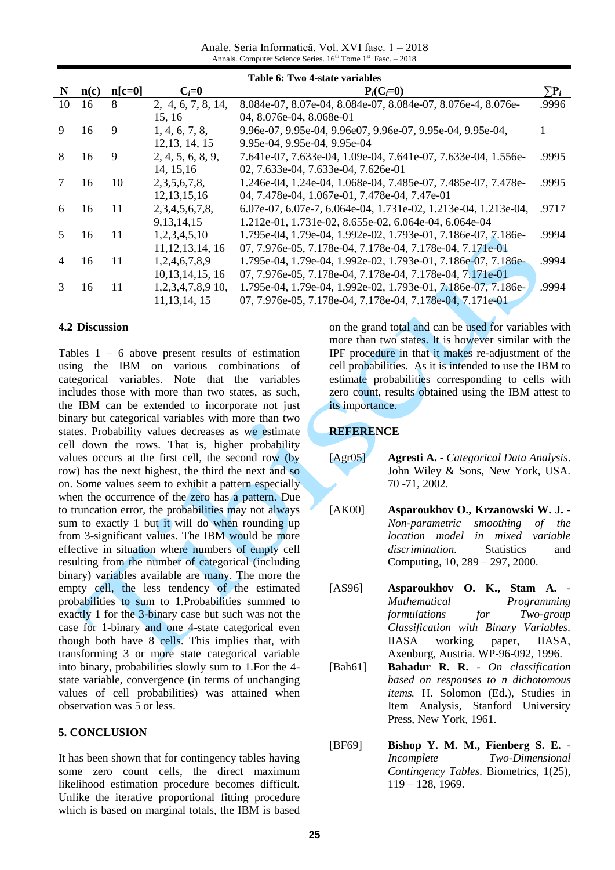Anale. Seria Informatică. Vol. XVI fasc. 1 – 2018 Annals. Computer Science Series.  $16<sup>th</sup>$  Tome  $1<sup>st</sup>$  Fasc.  $-2018$ 

| Table 6: Two 4-state variables |      |          |                     |                                                                |                     |  |  |
|--------------------------------|------|----------|---------------------|----------------------------------------------------------------|---------------------|--|--|
| N                              | n(c) | $n[c=0]$ | $C_i=0$             | $P_i(C_i=0)$                                                   | $\sum \mathbf{P}_i$ |  |  |
| 10                             | 16   | 8        | 2, 4, 6, 7, 8, 14,  | 8.084e-07, 8.07e-04, 8.084e-07, 8.084e-07, 8.076e-4, 8.076e-   | .9996               |  |  |
|                                |      |          | 15, 16              | 04, 8.076e-04, 8.068e-01                                       |                     |  |  |
| 9                              | 16   | 9        | 1, 4, 6, 7, 8,      | 9.96e-07, 9.95e-04, 9.96e07, 9.96e-07, 9.95e-04, 9.95e-04,     |                     |  |  |
|                                |      |          | 12, 13, 14, 15      | 9.95e-04, 9.95e-04, 9.95e-04                                   |                     |  |  |
| 8                              | 16   | 9        | 2, 4, 5, 6, 8, 9,   | 7.641e-07, 7.633e-04, 1.09e-04, 7.641e-07, 7.633e-04, 1.556e-  | .9995               |  |  |
|                                |      |          | 14, 15, 16          | 02, 7.633e-04, 7.633e-04, 7.626e-01                            |                     |  |  |
|                                | 16   | 10       | 2, 3, 5, 6, 7, 8,   | 1.246e-04, 1.24e-04, 1.068e-04, 7.485e-07, 7.485e-07, 7.478e-  | .9995               |  |  |
|                                |      |          | 12, 13, 15, 16      | 04, 7.478e-04, 1.067e-01, 7.478e-04, 7.47e-01                  |                     |  |  |
| 6                              | 16   | 11       | 2,3,4,5,6,7,8       | 6.07e-07, 6.07e-7, 6.064e-04, 1.731e-02, 1.213e-04, 1.213e-04, | .9717               |  |  |
|                                |      |          | 9, 13, 14, 15       | 1.212e-01, 1.731e-02, 8.655e-02, 6.064e-04, 6.064e-04          |                     |  |  |
| 5.                             | 16   | 11       | 1,2,3,4,5,10        | 1.795e-04, 1.79e-04, 1.992e-02, 1.793e-01, 7.186e-07, 7.186e-  | .9994               |  |  |
|                                |      |          | 11, 12, 13, 14, 16  | 07, 7.976e-05, 7.178e-04, 7.178e-04, 7.178e-04, 7.171e-01      |                     |  |  |
| 4                              | 16   | 11       | 1,2,4,6,7,8,9       | 1.795e-04, 1.79e-04, 1.992e-02, 1.793e-01, 7.186e-07, 7.186e-  | .9994               |  |  |
|                                |      |          | 10, 13, 14, 15, 16  | 07, 7.976e-05, 7.178e-04, 7.178e-04, 7.178e-04, 7.171e-01      |                     |  |  |
| 3                              | 16   | 11       | $1,2,3,4,7,8,9$ 10, | 1.795e-04, 1.79e-04, 1.992e-02, 1.793e-01, 7.186e-07, 7.186e-  | .9994               |  |  |
|                                |      |          | 11, 13, 14, 15      | 07, 7.976e-05, 7.178e-04, 7.178e-04, 7.178e-04, 7.171e-01      |                     |  |  |

#### **4.2 Discussion**

Tables  $1 - 6$  above present results of estimation using the IBM on various combinations of categorical variables. Note that the variables includes those with more than two states, as such, the IBM can be extended to incorporate not just binary but categorical variables with more than two states. Probability values decreases as we estimate cell down the rows. That is, higher probability values occurs at the first cell, the second row (by row) has the next highest, the third the next and so on. Some values seem to exhibit a pattern especially when the occurrence of the zero has a pattern. Due to truncation error, the probabilities may not always sum to exactly 1 but it will do when rounding up from 3-significant values. The IBM would be more effective in situation where numbers of empty cell resulting from the number of categorical (including binary) variables available are many. The more the empty cell, the less tendency of the estimated probabilities to sum to 1.Probabilities summed to exactly 1 for the 3-binary case but such was not the case for 1-binary and one 4-state categorical even though both have 8 cells. This implies that, with transforming 3 or more state categorical variable into binary, probabilities slowly sum to 1.For the 4 state variable, convergence (in terms of unchanging values of cell probabilities) was attained when observation was 5 or less.

### **5. CONCLUSION**

It has been shown that for contingency tables having some zero count cells, the direct maximum likelihood estimation procedure becomes difficult. Unlike the iterative proportional fitting procedure which is based on marginal totals, the IBM is based

on the grand total and can be used for variables with more than two states. It is however similar with the IPF procedure in that it makes re-adjustment of the cell probabilities. As it is intended to use the IBM to estimate probabilities corresponding to cells with zero count, results obtained using the IBM attest to its importance.

#### **REFERENCE**

- [Agr05] **Agresti A.** *Categorical Data Analysis*. John Wiley & Sons, New York, USA. 70 -71, 2002.
- [AK00] **Asparoukhov O., Krzanowski W. J. -** *Non-parametric smoothing of the location model in mixed variable discrimination.* Statistics and Computing, 10, 289 – 297, 2000.
- [AS96] **Asparoukhov O. K., Stam A.** *Mathematical Programming formulations for Two-group Classification with Binary Variables.* IIASA working paper, IIASA, Axenburg, Austria. WP-96-092, 1996.
- [Bah61] **Bahadur R. R.** *On classification based on responses to n dichotomous items.* H. Solomon (Ed.), Studies in Item Analysis, Stanford University Press, New York, 1961.
- [BF69] **Bishop Y. M. M., Fienberg S. E.** *Incomplete Two-Dimensional Contingency Tables.* Biometrics, 1(25), 119 – 128, 1969.